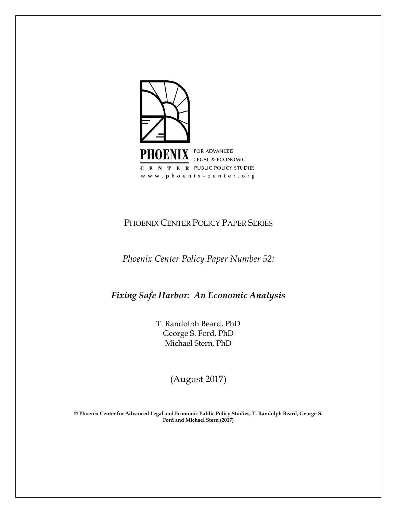

# PHOENIX CENTER POLICY PAPER SERIES

*Phoenix Center Policy Paper Number 52:*

*Fixing Safe Harbor: An Economic Analysis*

T. Randolph Beard, PhD George S. Ford, PhD Michael Stern, PhD

(August 2017)

**© Phoenix Center for Advanced Legal and Economic Public Policy Studies, T. Randolph Beard, George S. Ford and Michael Stern (2017)**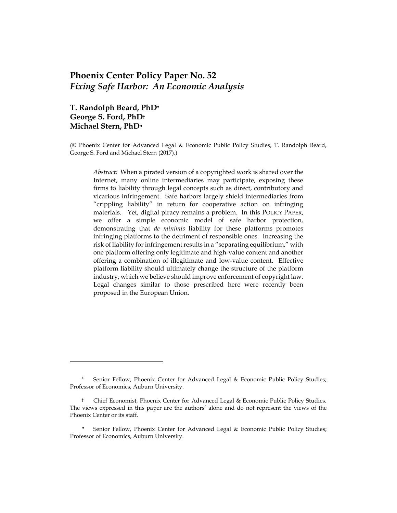## **Phoenix Center Policy Paper No. 52** *Fixing Safe Harbor: An Economic Analysis*

## **T. Randolph Beard, PhD George S. Ford, PhD† Michael Stern, PhD**

 $\overline{a}$ 

(© Phoenix Center for Advanced Legal & Economic Public Policy Studies, T. Randolph Beard, George S. Ford and Michael Stern (2017).)

*Abstract:* When a pirated version of a copyrighted work is shared over the Internet, many online intermediaries may participate, exposing these firms to liability through legal concepts such as direct, contributory and vicarious infringement. Safe harbors largely shield intermediaries from "crippling liability" in return for cooperative action on infringing materials. Yet, digital piracy remains a problem. In this POLICY PAPER, we offer a simple economic model of safe harbor protection, demonstrating that *de minimis* liability for these platforms promotes infringing platforms to the detriment of responsible ones. Increasing the risk of liability for infringement results in a "separating equilibrium," with one platform offering only legitimate and high-value content and another offering a combination of illegitimate and low-value content. Effective platform liability should ultimately change the structure of the platform industry, which we believe should improve enforcement of copyright law. Legal changes similar to those prescribed here were recently been proposed in the European Union.

Senior Fellow, Phoenix Center for Advanced Legal & Economic Public Policy Studies; Professor of Economics, Auburn University.

<sup>†</sup> Chief Economist, Phoenix Center for Advanced Legal & Economic Public Policy Studies. The views expressed in this paper are the authors' alone and do not represent the views of the Phoenix Center or its staff.

Senior Fellow, Phoenix Center for Advanced Legal & Economic Public Policy Studies; Professor of Economics, Auburn University.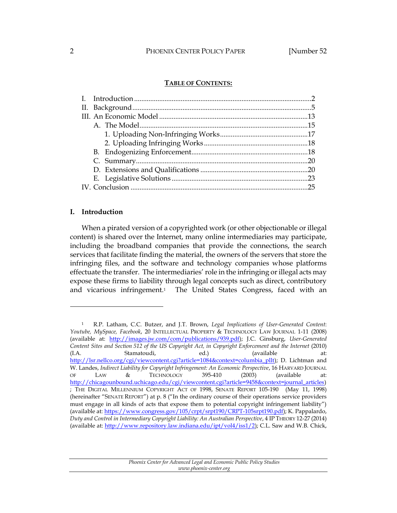#### 2 PHOENIX CENTER POLICY PAPER [Number 52

#### **TABLE OF CONTENTS:**

## <span id="page-2-0"></span>**I. Introduction**

 $\overline{a}$ 

When a pirated version of a copyrighted work (or other objectionable or illegal content) is shared over the Internet, many online intermediaries may participate, including the broadband companies that provide the connections, the search services that facilitate finding the material, the owners of the servers that store the infringing files, and the software and technology companies whose platforms effectuate the transfer. The intermediaries' role in the infringing or illegal acts may expose these firms to liability through legal concepts such as direct, contributory and vicarious infringement.1 The United States Congress, faced with an

<sup>1</sup> R.P. Latham, C.C. Butzer, and J.T. Brown, *Legal Implications of User-Generated Content*: *Youtube, MySpace, Facebook*, 20 INTELLECTUAL PROPERTY & TECHNOLOGY LAW JOURNAL 1-11 (2008) (available at: [http://images.jw.com/com/publications/939.pdf\)](http://images.jw.com/com/publications/939.pdf); J.C. Ginsburg, *User-Generated Content Sites and Section 512 of the US Copyright Act, in Copyright Enforcement and the Internet* (2010) (I.A. Stamatoudi, ed.) (available at: [http://lsr.nellco.org/cgi/viewcontent.cgi?article=1084&context=columbia\\_pllt\)](http://lsr.nellco.org/cgi/viewcontent.cgi?article=1084&context=columbia_pllt); D. Lichtman and W. Landes, *Indirect Liability for Copyright Infringement: An Economic Perspective*, 16 HARVARD JOURNAL OF LAW & TECHNOLOGY 395-410 (2003) (available at: [http://chicagounbound.uchicago.edu/cgi/viewcontent.cgi?article=9458&context=journal\\_articles\)](http://chicagounbound.uchicago.edu/cgi/viewcontent.cgi?article=9458&context=journal_articles) ; THE DIGITAL MILLENNIUM COPYRIGHT ACT OF 1998, SENATE REPORT 105-190 (May 11, 1998) (hereinafter "SENATE REPORT") at p. 8 ("In the ordinary course of their operations service providers must engage in all kinds of acts that expose them to potential copyright infringement liability") (available at: [https://www.congress.gov/105/crpt/srpt190/CRPT-105srpt190.pdf\)](https://www.congress.gov/105/crpt/srpt190/CRPT-105srpt190.pdf); K. Pappalardo, *Duty and Control in Intermediary Copyright Liability: An Australian Perspective*, 4 IP THEORY 12-27 (2014) (available at[: http://www.repository.law.indiana.edu/ipt/vol4/iss1/2\)](http://www.repository.law.indiana.edu/ipt/vol4/iss1/2); C.L. Saw and W.B. Chick,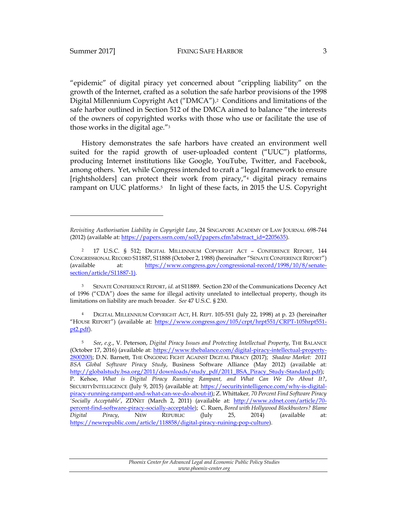$\overline{a}$ 

"epidemic" of digital piracy yet concerned about "crippling liability" on the growth of the Internet, crafted as a solution the safe harbor provisions of the 1998 Digital Millennium Copyright Act ("DMCA").2 Conditions and limitations of the safe harbor outlined in Section 512 of the DMCA aimed to balance "the interests of the owners of copyrighted works with those who use or facilitate the use of those works in the digital age."<sup>3</sup>

History demonstrates the safe harbors have created an environment well suited for the rapid growth of user-uploaded content ("UUC") platforms, producing Internet institutions like Google, YouTube, Twitter, and Facebook, among others. Yet, while Congress intended to craft a "legal framework to ensure [rightsholders] can protect their work from piracy,"<sup>4</sup> digital piracy remains rampant on UUC platforms.<sup>5</sup> In light of these facts, in 2015 the U.S. Copyright

<sup>3</sup> SENATE CONFERENCE REPORT, *id.* at S11889. Section 230 of the Communications Decency Act of 1996 ("CDA") does the same for illegal activity unrelated to intellectual property, though its limitations on liability are much broader. *See* 47 U.S.C. § 230.

<sup>4</sup> DIGITAL MILLENNIUM COPYRIGHT ACT, H. REPT. 105-551 (July 22, 1998) at p. 23 (hereinafter "HOUSE REPORT") (available at: [https://www.congress.gov/105/crpt/hrpt551/CRPT-105hrpt551](https://www.congress.gov/105/crpt/hrpt551/CRPT-105hrpt551-pt2.pdf) [pt2.pdf\)](https://www.congress.gov/105/crpt/hrpt551/CRPT-105hrpt551-pt2.pdf).

<sup>5</sup> *See*, *e*.*g*., V. Peterson, *Digital Piracy Issues and Protecting Intellectual Property*, THE BALANCE (October 17, 2016) (available at: [https://www.thebalance.com/digital-piracy-intellectual-property-](https://www.thebalance.com/digital-piracy-intellectual-property-2800200)[2800200\)](https://www.thebalance.com/digital-piracy-intellectual-property-2800200); D.N. Barnett, THE ONGOING FIGHT AGAINST DIGITAL PIRACY (2017); *Shadow Market: 2011 BSA Global Software Piracy Study*, Business Software Alliance (May 2012) (available at: [http://globalstudy.bsa.org/2011/downloads/study\\_pdf/2011\\_BSA\\_Piracy\\_Study-Standard.pdf\)](http://globalstudy.bsa.org/2011/downloads/study_pdf/2011_BSA_Piracy_Study-Standard.pdf); P. Kehoe, *What is Digital Piracy Running Rampant, and What Can We Do About It?*, SECURITYINTELLIGENCE (July 9, 2015) (available at: [https://securityintelligence.com/why-is-digital](https://securityintelligence.com/why-is-digital-piracy-running-rampant-and-what-can-we-do-about-it/)[piracy-running-rampant-and-what-can-we-do-about-it\)](https://securityintelligence.com/why-is-digital-piracy-running-rampant-and-what-can-we-do-about-it/); Z. Whittaker*, 70 Percent Find Software Piracy 'Socially Acceptable'*, ZDNET (March 2, 2011) (available at: [http://www.zdnet.com/article/70](http://www.zdnet.com/article/70-percent-find-software-piracy-socially-acceptable/) [percent-find-software-piracy-socially-acceptable\)](http://www.zdnet.com/article/70-percent-find-software-piracy-socially-acceptable/); C. Ruen, *Bored with Hollywood Blockbusters? Blame Digital Piracy*, NEW REPUBLIC (July 25, 2014) (available at: [https://newrepublic.com/article/118858/digital-piracy-ruining-pop-culture\)](https://newrepublic.com/article/118858/digital-piracy-ruining-pop-culture).

> *Phoenix Center for Advanced Legal and Economic Public Policy Studies www.phoenix-center.org*

*Revisiting Authorisation Liability in Copyright Law*, 24 SINGAPORE ACADEMY OF LAW JOURNAL 698-744 (2012) (available at: [https://papers.ssrn.com/sol3/papers.cfm?abstract\\_id=2205635\)](https://papers.ssrn.com/sol3/papers.cfm?abstract_id=2205635).

<sup>2</sup> 17 U.S.C. § 512; DIGITAL MILLENNIUM COPYRIGHT ACT – CONFERENCE REPORT, 144 CONGRESSIONAL RECORD S11887, S11888 (October 2, 1988) (hereinafter "SENATE CONFERENCE REPORT") (available at: [https://www.congress.gov/congressional-record/1998/10/8/senate](https://www.congress.gov/congressional-record/1998/10/8/senate-section/article/S11887-1)[section/article/S11887-1\)](https://www.congress.gov/congressional-record/1998/10/8/senate-section/article/S11887-1).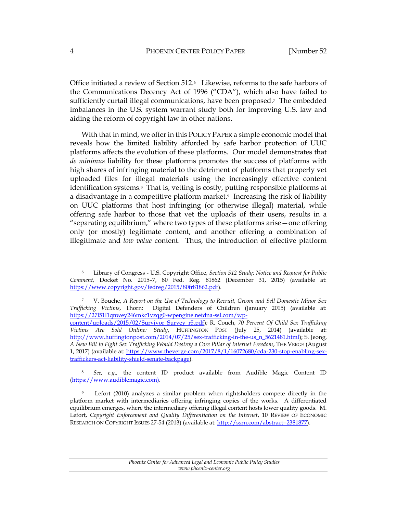Office initiated a review of Section 512.6 Likewise, reforms to the safe harbors of the Communications Decency Act of 1996 ("CDA"), which also have failed to sufficiently curtail illegal communications, have been proposed.7 The embedded imbalances in the U.S. system warrant study both for improving U.S. law and aiding the reform of copyright law in other nations.

With that in mind, we offer in this POLICY PAPER a simple economic model that reveals how the limited liability afforded by safe harbor protection of UUC platforms affects the evolution of these platforms. Our model demonstrates that *de minimus* liability for these platforms promotes the success of platforms with high shares of infringing material to the detriment of platforms that properly vet uploaded files for illegal materials using the increasingly effective content identification systems.8 That is, vetting is costly, putting responsible platforms at a disadvantage in a competitive platform market.<sup>9</sup> Increasing the risk of liability on UUC platforms that host infringing (or otherwise illegal) material, while offering safe harbor to those that vet the uploads of their users, results in a "separating equilibrium," where two types of these platforms arise—one offering only (or mostly) legitimate content, and another offering a combination of illegitimate and *low value* content. Thus, the introduction of effective platform

<sup>8</sup> *See, e.g.,* the content ID product available from Audible Magic Content ID [\(https://www.audiblemagic.com\)](https://www.audiblemagic.com/).

<sup>6</sup> Library of Congress - U.S. Copyright Office, *Section 512 Study: Notice and Request for Public Comment,* Docket No. 2015–7, 80 Fed. Reg. 81862 (December 31, 2015) (available at: [https://www.copyright.gov/fedreg/2015/80fr81862.pdf\)](https://www.copyright.gov/fedreg/2015/80fr81862.pdf)).

<sup>7</sup> V. Bouche, *A Report on the Use of Technology to Recruit, Groom and Sell Domestic Minor Sex Trafficking Victims*, Thorn: Digital Defenders of Children (January 2015) (available at: [https://27l51l1qnwey246mkc1vzqg0-wpengine.netdna-ssl.com/wp-](https://27l51l1qnwey246mkc1vzqg0-wpengine.netdna-ssl.com/wp-content/uploads/2015/02/Survivor_Survey_r5.pdf)

[content/uploads/2015/02/Survivor\\_Survey\\_r5.pdf\)](https://27l51l1qnwey246mkc1vzqg0-wpengine.netdna-ssl.com/wp-content/uploads/2015/02/Survivor_Survey_r5.pdf); R. Couch, *70 Percent Of Child Sex Trafficking Victims Are Sold Online: Study*, HUFFINGTON POST (July 25, 2014) (available at: [http://www.huffingtonpost.com/2014/07/25/sex-trafficking-in-the-us\\_n\\_5621481.html\)](http://www.huffingtonpost.com/2014/07/25/sex-trafficking-in-the-us_n_5621481.html); S. Jeong, *A New Bill to Fight Sex Trafficking Would Destroy a Core Pillar of Internet Freedom*, THE VERGE (August 1, 2017) (available at: [https://www.theverge.com/2017/8/1/16072680/cda-230-stop-enabling-sex](https://www.theverge.com/2017/8/1/16072680/cda-230-stop-enabling-sex-traffickers-act-liability-shield-senate-backpage)[traffickers-act-liability-shield-senate-backpage\)](https://www.theverge.com/2017/8/1/16072680/cda-230-stop-enabling-sex-traffickers-act-liability-shield-senate-backpage).

Lefort (2010) analyzes a similar problem when rightsholders compete directly in the platform market with intermediaries offering infringing copies of the works. A differentiated equilibrium emerges, where the intermediary offering illegal content hosts lower quality goods. M. Lefort, *Copyright Enforcement and Quality Differentiation on the Internet*, 10 REVIEW OF ECONOMIC RESEARCH ON COPYRIGHT ISSUES 27-54 (2013) (available at: [http://ssrn.com/abstract=2381877\)](http://ssrn.com/abstract=2381877).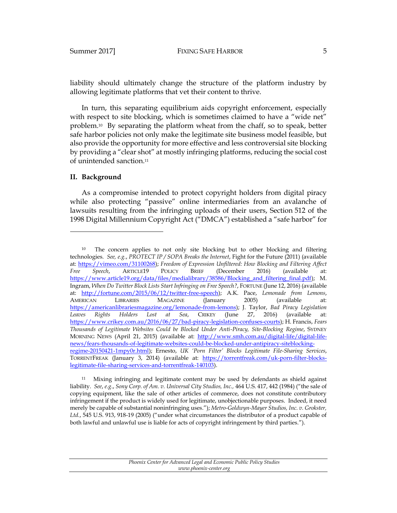liability should ultimately change the structure of the platform industry by allowing legitimate platforms that vet their content to thrive.

In turn, this separating equilibrium aids copyright enforcement, especially with respect to site blocking, which is sometimes claimed to have a "wide net" problem.10 By separating the platform wheat from the chaff, so to speak, better safe harbor policies not only make the legitimate site business model feasible, but also provide the opportunity for more effective and less controversial site blocking by providing a "clear shot" at mostly infringing platforms, reducing the social cost of unintended sanction.<sup>11</sup>

## <span id="page-5-0"></span>**II. Background**

 $\overline{a}$ 

As a compromise intended to protect copyright holders from digital piracy while also protecting "passive" online intermediaries from an avalanche of lawsuits resulting from the infringing uploads of their users, Section 512 of the 1998 Digital Millennium Copyright Act ("DMCA") established a "safe harbor" for

The concern applies to not only site blocking but to other blocking and filtering technologies. *See, e.g.*, *PROTECT IP / SOPA Breaks the Internet*, Fight for the Future (2011) (available at: [https://vimeo.com/31100268\)](https://vimeo.com/31100268); *Freedom of Expression Unfiltered: How Blocking and Filtering Affect*  **FOLICY** BRIEF (December 2016) (available at: [https://www.article19.org/data/files/medialibrary/38586/Blocking\\_and\\_filtering\\_final.pdf\)](https://www.article19.org/data/files/medialibrary/38586/Blocking_and_filtering_final.pdf); M. Ingram, *When Do Twitter Block Lists Start Infringing on Free Speech?*, FORTUNE (June 12, 2016) (available at: [http://fortune.com/2015/06/12/twitter-free-speech\)](http://fortune.com/2015/06/12/twitter-free-speech/); A.K. Pace, *Lemonade from Lemons*, AMERICAN LIBRARIES MAGAZINE (January 2005) (available at: [https://americanlibrariesmagazine.org/lemonade-from-lemons\)](https://americanlibrariesmagazine.org/lemonade-from-lemons/); J. Taylor, *Bad Piracy Legislation Leaves Rights Holders Lost at Sea*, CRIKEY (June 27, 2016) (available at: [https://www.crikey.com.au/2016/06/27/bad-piracy-legislation-confuses-courts\)](https://www.crikey.com.au/2016/06/27/bad-piracy-legislation-confuses-courts/); H. Francis, *Fears Thousands of Legitimate Websites Could be Blocked Under Anti-Piracy, Site-Blocking Regime*, SYDNEY MORNING NEWS (April 21, 2015) (available at: [http://www.smh.com.au/digital-life/digital-life](http://www.smh.com.au/digital-life/digital-life-news/fears-thousands-of-legitimate-websites-could-be-blocked-under-antipiracy-siteblocking-regime-20150421-1mpy0r.html)[news/fears-thousands-of-legitimate-websites-could-be-blocked-under-antipiracy-siteblocking](http://www.smh.com.au/digital-life/digital-life-news/fears-thousands-of-legitimate-websites-could-be-blocked-under-antipiracy-siteblocking-regime-20150421-1mpy0r.html)[regime-20150421-1mpy0r.html\)](http://www.smh.com.au/digital-life/digital-life-news/fears-thousands-of-legitimate-websites-could-be-blocked-under-antipiracy-siteblocking-regime-20150421-1mpy0r.html); Ernesto, *UK 'Porn Filter' Blocks Legitimate File-Sharing Services*, TORRENTFREAK (January 3, 2014) (available at: [https://torrentfreak.com/uk-porn-filter-blocks](https://torrentfreak.com/uk-porn-filter-blocks-legitimate-file-sharing-services-and-torrentfreak-140103/)[legitimate-file-sharing-services-and-torrentfreak-140103\)](https://torrentfreak.com/uk-porn-filter-blocks-legitimate-file-sharing-services-and-torrentfreak-140103/).

 $11$  Mixing infringing and legitimate content may be used by defendants as shield against liability. *See*, *e*.*g*., *Sony Corp. of Am. v. Universal City Studios, Inc.,* 464 U.S. 417, 442 (1984) ("the sale of copying equipment, like the sale of other articles of commerce, does not constitute contributory infringement if the product is widely used for legitimate, unobjectionable purposes. Indeed, it need merely be capable of substantial noninfringing uses."); *Metro-Goldwyn-Mayer Studios, Inc. v. Grokster, Ltd.*, 545 U.S. 913, 918-19 (2005) ("under what circumstances the distributor of a product capable of both lawful and unlawful use is liable for acts of copyright infringement by third parties.").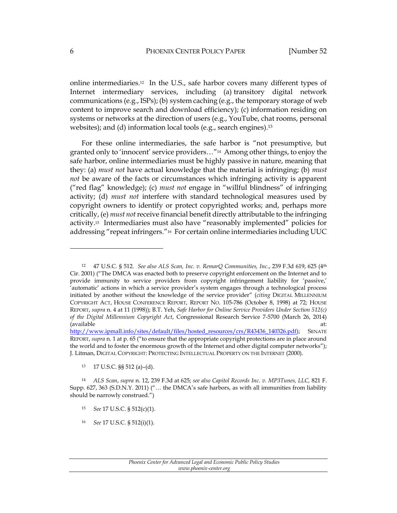online intermediaries.12 In the U.S., safe harbor covers many different types of Internet intermediary services, including (a) transitory digital network communications (e.g., ISPs); (b) system caching (e.g., the temporary storage of web content to improve search and download efficiency); (c) information residing on systems or networks at the direction of users (e.g., YouTube, chat rooms, personal websites); and (d) information local tools (e.g., search engines).<sup>13</sup>

For these online intermediaries, the safe harbor is "not presumptive, but granted only to 'innocent' service providers…"14 Among other things, to enjoy the safe harbor, online intermediaries must be highly passive in nature, meaning that they: (a) *must not* have actual knowledge that the material is infringing; (b) *must not* be aware of the facts or circumstances which infringing activity is apparent ("red flag" knowledge); (c) *must not* engage in "willful blindness" of infringing activity; (d) *must not* interfere with standard technological measures used by copyright owners to identify or protect copyrighted works; and, perhaps more critically, (e) *must not* receive financial benefit directly attributable to the infringing activity.15 Intermediaries must also have "reasonably implemented" policies for addressing "repeat infringers."<sup>16</sup> For certain online intermediaries including UUC

<sup>13</sup> 17 U.S.C. §§ 512 (a)–(d).

- <sup>15</sup> *See* 17 U.S.C. § 512(c)(1).
- <sup>16</sup> *See* 17 U.S.C. § 512(i)(1).

<sup>12</sup> 47 U.S.C. § 512. *See also ALS Scan, Inc. v. RemarQ Communities, Inc*., 239 F.3d 619, 625 (4th Cir. 2001) ("The DMCA was enacted both to preserve copyright enforcement on the Internet and to provide immunity to service providers from copyright infringement liability for 'passive,' 'automatic' actions in which a service provider's system engages through a technological process initiated by another without the knowledge of the service provider" (*citing* DIGITAL MILLENNIUM COPYRIGHT ACT, HOUSE CONFERENCE REPORT, REPORT NO. 105-786 (October 8, 1998) at 72; HOUSE REPORT, *supra* n. 4 at 11 (1998)); B.T. Yeh, *Safe Harbor for Online Service Providers Under Section 512(c) of the Digital Millennium Copyright Act*, Congressional Research Service 7-5700 (March 26, 2014) (available at:  $\overline{a}$ ) at:  $\overline{a}$ 

[http://www.ipmall.info/sites/default/files/hosted\\_resources/crs/R43436\\_140326.pdf\)](http://www.ipmall.info/sites/default/files/hosted_resources/crs/R43436_140326.pdf); SENATE REPORT, *supra* n. 1 at p. 65 ("to ensure that the appropriate copyright protections are in place around the world and to foster the enormous growth of the Internet and other digital computer networks"); J. Litman, DIGITAL COPYRIGHT: PROTECTING INTELLECTUAL PROPERTY ON THE INTERNET (2000).

<sup>14</sup> *ALS Scan*, *supra* n. 12, 239 F.3d at 625; *see also Capitol Records Inc. v. MP3Tunes, LLC,* 821 F. Supp. 627, 363 (S.D.N.Y. 2011) ("… the DMCA's safe harbors, as with all immunities from liability should be narrowly construed.")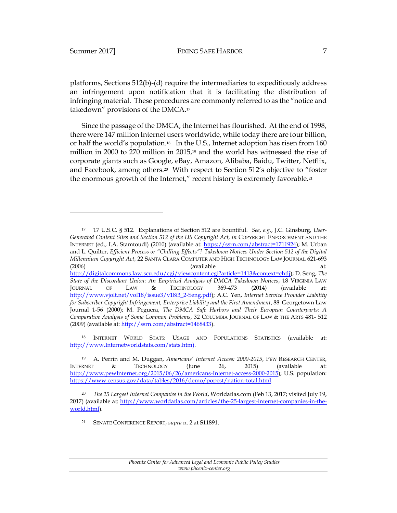$\overline{a}$ 

platforms, Sections 512(b)-(d) require the intermediaries to expeditiously address an infringement upon notification that it is facilitating the distribution of infringing material. These procedures are commonly referred to as the "notice and takedown" provisions of the DMCA.<sup>17</sup>

Since the passage of the DMCA, the Internet has flourished. At the end of 1998, there were 147 million Internet users worldwide, while today there are four billion, or half the world's population.<sup>18</sup> In the U.S., Internet adoption has risen from 160 million in 2000 to 270 million in 2015,<sup>19</sup> and the world has witnessed the rise of corporate giants such as Google, eBay, Amazon, Alibaba, Baidu, Twitter, Netflix, and Facebook, among others.20 With respect to Section 512's objective to "foster the enormous growth of the Internet," recent history is extremely favorable.<sup>21</sup>

<sup>18</sup> INTERNET WORLD STATS: USAGE AND POPULATIONS STATISTICS (available at: [http://www.Internetworldstats.com/stats.htm\)](http://www.internetworldstats.com/stats.htm).

<sup>17</sup> 17 U.S.C. § 512. Explanations of Section 512 are bountiful. *See*, *e.g.*, J.C. Ginsburg, *User-*Generated Content Sites and Section 512 of the US Copyright Act, in COPYRIGHT ENFORCEMENT AND THE INTERNET (ed., I.A. Stamtoudi) (2010) (available at: [https://ssrn.com/abstract=1711924\)](https://ssrn.com/abstract=1711924); M. Urban and L. Quilter, *Efficient Process or "Chilling Effects"? Takedown Notices Under Section* 512 of the Digital *Millennium Copyright Act*, 22 SANTA CLARA COMPUTER AND HIGH TECHNOLOGY LAW JOURNAL 621-693 (2006) (available at: [http://digitalcommons.law.scu.edu/cgi/viewcontent.cgi?article=1413&context=chtlj\)](http://digitalcommons.law.scu.edu/cgi/viewcontent.cgi?article=1413&context=chtlj); D. Seng, *The State of the Discordant Union: An Empirical Analysis of DMCA Takedown Notices*, 18 VIRGINIA LAW JOURNAL OF LAW & TECHNOLOGY 369-473 (2014) (available at: [http://www.vjolt.net/vol18/issue3/v18i3\\_2-Seng.pdf\)](http://www.vjolt.net/vol18/issue3/v18i3_2-Seng.pdf); A.C. Yen, *Internet Service Provider Liability*  for Subscriber Copyright Infringement, Enterprise Liability and the First Amendment, 88 Georgetown Law Journal 1-56 (2000); M. Peguera, *The DMCA Safe Harbors and Their European Counterparts: A Comparative Analysis of Some Common Problems*, 32 COLUMBIA JOURNAL OF LAW & THE ARTS 481- 512 (2009) (available at: [http://ssrn.com/abstract=1468433\)](http://ssrn.com/abstract=1468433).

<sup>19</sup> A. Perrin and M. Duggan, *Americans' Internet Access: 2000-2015*, PEW RESEARCH CENTER, INTERNET & TECHNOLOGY (June 26, 2015) (available at: [http://www.pewInternet.org/2015/06/26/americans-Internet-access-2000-2015\)](http://www.pewinternet.org/2015/06/26/americans-internet-access-2000-2015/); U.S. population: [https://www.census.gov/data/tables/2016/demo/popest/nation-total.html.](https://www.census.gov/data/tables/2016/demo/popest/nation-total.html)

<sup>&</sup>lt;sup>20</sup> The 25 Largest Internet Companies in the World, Worldatlas.com (Feb 13, 2017; visited July 19, 2017) (available at: [http://www.worldatlas.com/articles/the-25-largest-internet-companies-in-the](http://www.worldatlas.com/articles/the-25-largest-internet-companies-in-the-world.html)[world.html\)](http://www.worldatlas.com/articles/the-25-largest-internet-companies-in-the-world.html).

<sup>21</sup> SENATE CONFERENCE REPORT, *supra* n. 2 at S11891.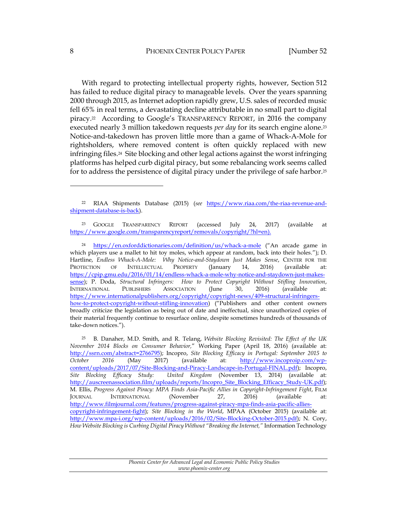With regard to protecting intellectual property rights, however, Section 512 has failed to reduce digital piracy to manageable levels. Over the years spanning 2000 through 2015, as Internet adoption rapidly grew, U.S. sales of recorded music fell 65% in real terms, a devastating decline attributable in no small part to digital piracy.<sup>22</sup> According to Google's TRANSPARENCY REPORT, in 2016 the company executed nearly 3 million takedown requests *per day* for its search engine alone.<sup>23</sup> Notice-and-takedown has proven little more than a game of Whack-A-Mole for rightsholders, where removed content is often quickly replaced with new infringing files.24 Site blocking and other legal actions against the worst infringing platforms has helped curb digital piracy, but some rebalancing work seems called for to address the persistence of digital piracy under the privilege of safe harbor.<sup>25</sup>

<sup>25</sup> B. Danaher, M.D. Smith, and R. Telang, *Website Blocking Revisited: The Effect of the UK November 2014 Blocks on Consumer Behavior,*" Working Paper (April 18, 2016) (available at: [http://ssrn.com/abstract=2766795\)](http://ssrn.com/abstract=2766795); Incopro, *Site Blocking Efficacy in Portugal: September 2015 to October 2016* (May 2017) (available at: [http://www.incoproip.com/wp](http://www.incoproip.com/wp-content/uploads/2017/07/Site-Blocking-and-Piracy-Landscape-in-Portugal-FINAL.pdf)[content/uploads/2017/07/Site-Blocking-and-Piracy-Landscape-in-Portugal-FINAL.pdf\)](http://www.incoproip.com/wp-content/uploads/2017/07/Site-Blocking-and-Piracy-Landscape-in-Portugal-FINAL.pdf); Incopro, *Site Blocking Efficacy Study: United Kingdom* (November 13, 2014) (available at: [http://auscreenassociation.film/uploads/reports/Incopro\\_Site\\_Blocking\\_Efficacy\\_Study-UK.pdf\)](http://auscreenassociation.film/uploads/reports/Incopro_Site_Blocking_Efficacy_Study-UK.pdf); M. Ellis, *Progress Against Piracy: MPA Finds Asia-Pacific Allies in Copyright-Infringement Fight*, FILM JOURNAL INTERNATIONAL (November 27, 2016) (available at: [http://www.filmjournal.com/features/progress-against-piracy-mpa-finds-asia-pacific-allies](http://www.filmjournal.com/features/progress-against-piracy-mpa-finds-asia-pacific-allies-copyright-infringement-fight)[copyright-infringement-fight\)](http://www.filmjournal.com/features/progress-against-piracy-mpa-finds-asia-pacific-allies-copyright-infringement-fight); *Site Blocking in the World*, MPAA (October 2015) (available at: [http://www.mpa-i.org/wp-content/uploads/2016/02/Site-Blocking-October-2015.pdf\)](http://www.mpa-i.org/wp-content/uploads/2016/02/Site-Blocking-October-2015.pdf); N. Cory, *How Website Blocking is Curbing Digital Piracy Without "Breaking the Internet,"* Information Technology

<sup>22</sup> RIAA Shipments Database (2015) (*see* [https://www.riaa.com/the-riaa-revenue-and](https://www.riaa.com/the-riaa-revenue-and-shipment-database-is-back)[shipment-database-is-back\)](https://www.riaa.com/the-riaa-revenue-and-shipment-database-is-back).

<sup>23</sup> GOOGLE TRANSPARENCY REPORT (accessed July 24, 2017) (available at [https://www.google.com/transparencyreport/removals/copyright/?hl=en\)](https://www.google.com/transparencyreport/removals/copyright/?hl=en).

<sup>24</sup> <https://en.oxforddictionaries.com/definition/us/whack-a-mole> ("An arcade game in which players use a mallet to hit toy moles, which appear at random, back into their holes."); D. Hartline, *Endless Whack-A-Mole: Why Notice-and-Staydown Just Makes Sense*, CENTER FOR THE PROTECTION OF INTELLECTUAL PROPERTY (January 14, 2016) (available at: [https://cpip.gmu.edu/2016/01/14/endless-whack-a-mole-why-notice-and-staydown-just-makes](https://cpip.gmu.edu/2016/01/14/endless-whack-a-mole-why-notice-and-staydown-just-makes-sense/)[sense\)](https://cpip.gmu.edu/2016/01/14/endless-whack-a-mole-why-notice-and-staydown-just-makes-sense/); P. Doda, *Structural Infringers: How to Protect Copyright Without Stifling Innovation*, INTERNATIONAL PUBLISHERS ASSOCIATION (June 30, 2016) (available at: [https://www.internationalpublishers.org/copyright/copyright-news/409-structural-infringers](https://www.internationalpublishers.org/copyright/copyright-news/409-structural-infringers-how-to-protect-copyright-without-stifling-innovation)[how-to-protect-copyright-without-stifling-innovation](https://www.internationalpublishers.org/copyright/copyright-news/409-structural-infringers-how-to-protect-copyright-without-stifling-innovation)) ("Publishers and other content owners broadly criticize the legislation as being out of date and ineffectual, since unauthorized copies of their material frequently continue to resurface online, despite sometimes hundreds of thousands of take-down notices.").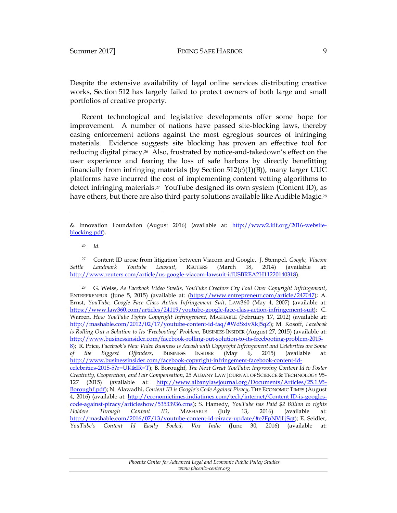Despite the extensive availability of legal online services distributing creative works, Section 512 has largely failed to protect owners of both large and small portfolios of creative property.

Recent technological and legislative developments offer some hope for improvement. A number of nations have passed site-blocking laws, thereby easing enforcement actions against the most egregious sources of infringing materials. Evidence suggests site blocking has proven an effective tool for reducing digital piracy.26 Also, frustrated by notice-and-takedown's effect on the user experience and fearing the loss of safe harbors by directly benefitting financially from infringing materials (by Section  $512(c)(1)(B)$ ), many larger UUC platforms have incurred the cost of implementing content vetting algorithms to detect infringing materials.<sup>27</sup> YouTube designed its own system (Content ID), as have others, but there are also third-party solutions available like Audible Magic.<sup>28</sup>

 $\overline{a}$ 

<sup>27</sup> Content ID arose from litigation between Viacom and Google. J. Stempel, *Google, Viacom Settle Landmark Youtube Lawsuit*, REUTERS (March 18, 2014) (available at: [http://www.reuters.com/article/us-google-viacom-lawsuit-idUSBREA2H11220140318\)](http://www.reuters.com/article/us-google-viacom-lawsuit-idUSBREA2H11220140318).

<sup>28</sup> G. Weiss, *As Facebook Video Swells, YouTube Creators Cry Foul Over Copyright Infringement*, ENTREPRENEUR (June 5, 2015) (available at: [\(https://www.entrepreneur.com/article/247047\)](https://www.entrepreneur.com/article/247047); A. Ernst, *YouTube, Google Face Class Action Infringement Suit*, LAW360 (May 4, 2007) (available at: [https://www.law360.com/articles/24119/youtube-google-face-class-action-infringement-suit\)](https://www.law360.com/articles/24119/youtube-google-face-class-action-infringement-suit); C. Warren, *How YouTube Fights Copyright Infringement*, MASHABLE (February 17, 2012) (available at: [http://mashable.com/2012/02/17/youtube-content-id-faq/#WdSxivXkJ5qZ\)](http://mashable.com/2012/02/17/youtube-content-id-faq/#WdSxivXkJ5qZ); M. Kosoff, *Facebook is Rolling Out a Solution to Its 'Freebooting' Problem*, BUSINESS INSIDER (August 27, 2015) (available at: [http://www.businessinsider.com/facebook-rolling-out-solution-to-its-freebooting-problem-2015-](http://www.businessinsider.com/facebook-rolling-out-solution-to-its-freebooting-problem-2015-8) [8\)](http://www.businessinsider.com/facebook-rolling-out-solution-to-its-freebooting-problem-2015-8); R. Price, *Facebook's New Video Business is Awash with Copyright Infringement and Celebrities are Some of the Biggest Offenders*, BUSINESS INSIDER (May 6, 2015) (available at: [http://www.businessinsider.com/facebook-copyright-infringement-facebook-content-id](http://www.businessinsider.com/facebook-copyright-infringement-facebook-content-id-celebrities-2015-5?r=UK&IR=T)[celebrities-2015-5?r=UK&IR=T\)](http://www.businessinsider.com/facebook-copyright-infringement-facebook-content-id-celebrities-2015-5?r=UK&IR=T); B. Boroughf, *The Next Great YouTube: Improving Content Id to Foster Creativity, Cooperation, and Fair Compensation*, 25 ALBANY LAW JOURNAL OF SCIENCE & TECHNOLOGY 95- 127 (2015) (available at: [http://www.albanylawjournal.org/Documents/Articles/25.1.95-](http://www.albanylawjournal.org/Documents/Articles/25.1.95-Boroughf.pdf) [Boroughf.pdf\)](http://www.albanylawjournal.org/Documents/Articles/25.1.95-Boroughf.pdf); N. Alawadhi, *Content ID is Google's Code Against Piracy*, THE ECONOMIC TIMES (August 4, 2016) (available at: [http://economictimes.indiatimes.com/tech/internet/Content](http://economictimes.indiatimes.com/tech/internet/contentid-is-googles-code-against-piracy/articleshow/53533936.cms) ID-is-googles[code-against-piracy/articleshow/53533936.cms\)](http://economictimes.indiatimes.com/tech/internet/contentid-is-googles-code-against-piracy/articleshow/53533936.cms); S. Hamedy, *YouTube has Paid \$2 Billion to rights Holders Through Content ID*, MASHABLE (July 13, 2016) (available at: [http://mashable.com/2016/07/13/youtube-content-id-piracy-update/#e2FpNVjLjSqt\)](http://mashable.com/2016/07/13/youtube-content-id-piracy-update/#e2FpNVjLjSqt); E. Seidler, *YouTube's Content Id Easily Fooled*, *Vox Indie* (June 30, 2016) (available at:

<sup>&</sup>amp; Innovation Foundation (August 2016) (available at: [http://www2.itif.org/2016-website](http://www2.itif.org/2016-website-blocking.pdf)[blocking.pdf\)](http://www2.itif.org/2016-website-blocking.pdf).

<sup>26</sup> *Id*.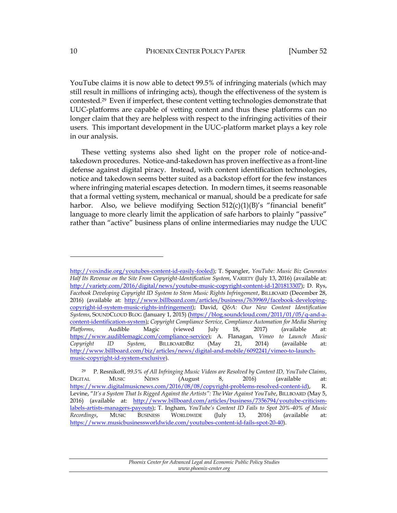YouTube claims it is now able to detect 99.5% of infringing materials (which may still result in millions of infringing acts), though the effectiveness of the system is contested.29 Even if imperfect, these content vetting technologies demonstrate that UUC-platforms are capable of vetting content and thus these platforms can no longer claim that they are helpless with respect to the infringing activities of their users. This important development in the UUC-platform market plays a key role in our analysis.

These vetting systems also shed light on the proper role of notice-andtakedown procedures. Notice-and-takedown has proven ineffective as a front-line defense against digital piracy. Instead, with content identification technologies, notice and takedown seems better suited as a backstop effort for the few instances where infringing material escapes detection. In modern times, it seems reasonable that a formal vetting system, mechanical or manual, should be a predicate for safe harbor. Also, we believe modifying Section  $512(c)(1)(B)'s$  "financial benefit" language to more clearly limit the application of safe harbors to plainly "passive" rather than "active" business plans of online intermediaries may nudge the UUC

[http://voxindie.org/youtubes-content-id-easily-fooled\)](http://voxindie.org/youtubes-content-id-easily-fooled/); T. Spangler, *YouTube: Music Biz Generates Half Its Revenue on the Site From Copyright-Identification System*, VARIETY (July 13, 2016) (available at: [http://variety.com/2016/digital/news/youtube-music-copyright-content-id-1201813307\)](http://variety.com/2016/digital/news/youtube-music-copyright-content-id-1201813307/); D. Rys, *Facebook Developing Copyright ID System to Stem Music Rights Infringement*, BILLBOARD (December 28, 2016) (available at: [http://www.billboard.com/articles/business/7639969/facebook-developing](http://www.billboard.com/articles/business/7639969/facebook-developing-copyright-id-system-music-rights-infringement)[copyright-id-system-music-rights-infringement\)](http://www.billboard.com/articles/business/7639969/facebook-developing-copyright-id-system-music-rights-infringement); David, *Q&A: Our New Content Identification Systems*, SOUNDCLOUD BLOG (January 1, 2015) [\(https://blog.soundcloud.com/2011/01/05/q-and-a](https://blog.soundcloud.com/2011/01/05/q-and-a-content-identification-system/)[content-identification-system\)](https://blog.soundcloud.com/2011/01/05/q-and-a-content-identification-system/); *Copyright Compliance Service, Compliance Automation for Media Sharing Platforms*, Audible Magic (viewed July 18, 2017) (available at: [https://www.audiblemagic.com/compliance-service\)](https://www.audiblemagic.com/compliance-service/); A. Flanagan, *Vimeo to Launch Music Copyright ID System*, BILLBOARDBIZ (May 21, 2014) (available at: [http://www.billboard.com/biz/articles/news/digital-and-mobile/6092241/vimeo-to-launch](http://www.billboard.com/biz/articles/news/digital-and-mobile/6092241/vimeo-to-launch-music-copyright-id-system-exclusive)[music-copyright-id-system-exclusive\)](http://www.billboard.com/biz/articles/news/digital-and-mobile/6092241/vimeo-to-launch-music-copyright-id-system-exclusive).

<sup>29</sup> P. Resnikoff, *99.5% of All Infringing Music Videos are Resolved by Content ID, YouTube Claims*, DIGITAL MUSIC NEWS (August 8, 2016) (available at: [https://www.digitalmusicnews.com/2016/08/08/copyright-problems-resolved-content-id\)](https://www.digitalmusicnews.com/2016/08/08/copyright-problems-resolved-content-id/), R. Levine, "*It's a System That Is Rigged Against the Artists": The War Against YouTube*, BILLBOARD (May 5, 2016) (available at: [http://www.billboard.com/articles/business/7356794/youtube-criticism](http://www.billboard.com/articles/business/7356794/youtube-criticism-labels-artists-managers-payouts)[labels-artists-managers-payouts\)](http://www.billboard.com/articles/business/7356794/youtube-criticism-labels-artists-managers-payouts); T. Ingham, *YouTube's Content ID Fails to Spot 20%-40% of Music Recordings*, MUSIC BUSINESS WORLDWIDE (July 13, 2016) (available at: [https://www.musicbusinessworldwide.com/youtubes-content-id-fails-spot-20-40\)](https://www.musicbusinessworldwide.com/youtubes-content-id-fails-spot-20-40/).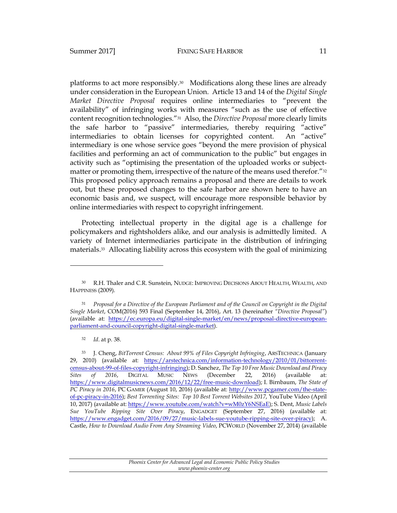platforms to act more responsibly.30 Modifications along these lines are already under consideration in the European Union. Article 13 and 14 of the *Digital Single Market Directive Proposal* requires online intermediaries to "prevent the availability" of infringing works with measures "such as the use of effective content recognition technologies."31 Also, the *Directive Proposal* more clearly limits the safe harbor to "passive" intermediaries, thereby requiring "active" intermediaries to obtain licenses for copyrighted content. An "active" intermediary is one whose service goes "beyond the mere provision of physical facilities and performing an act of communication to the public" but engages in activity such as "optimising the presentation of the uploaded works or subjectmatter or promoting them, irrespective of the nature of the means used therefor."<sup>32</sup> This proposed policy approach remains a proposal and there are details to work out, but these proposed changes to the safe harbor are shown here to have an economic basis and, we suspect, will encourage more responsible behavior by online intermediaries with respect to copyright infringement.

Protecting intellectual property in the digital age is a challenge for policymakers and rightsholders alike, and our analysis is admittedly limited. A variety of Internet intermediaries participate in the distribution of infringing materials.33 Allocating liability across this ecosystem with the goal of minimizing

<sup>30</sup> R.H. Thaler and C.R. Sunstein, NUDGE: IMPROVING DECISIONS ABOUT HEALTH, WEALTH, AND HAPPINESS (2009).

<sup>31</sup> *Proposal for a Directive of the European Parliament and of the Council on Copyright in the Digital Single Market*, COM(2016) 593 Final (September 14, 2016), Art. 13 (hereinafter *"Directive Proposal"*) (available at: [https://ec.europa.eu/digital-single-market/en/news/proposal-directive-european](https://ec.europa.eu/digital-single-market/en/news/proposal-directive-european-parliament-and-council-copyright-digital-single-market)[parliament-and-council-copyright-digital-single-market\)](https://ec.europa.eu/digital-single-market/en/news/proposal-directive-european-parliament-and-council-copyright-digital-single-market).

<sup>32</sup> *Id*. at p. 38.

<sup>33</sup> J. Cheng, *BitTorrent Census: About 99% of Files Copyright Infringing*, ARSTECHNICA (January 29, 2010) (available at: [https://arstechnica.com/information-technology/2010/01/bittorrent](https://arstechnica.com/information-technology/2010/01/bittorrent-census-about-99-of-files-copyright-infringing/)[census-about-99-of-files-copyright-infringing\)](https://arstechnica.com/information-technology/2010/01/bittorrent-census-about-99-of-files-copyright-infringing/); D. Sanchez, *The Top 10 Free Music Download and Piracy Sites of 2016*, DIGITAL MUSIC NEWS (December 22, 2016) (available at: [https://www.digitalmusicnews.com/2016/12/22/free-music-download\)](https://www.digitalmusicnews.com/2016/12/22/free-music-download/); I. Birnbaum, *The State of PC Piracy in 2016*, PC GAMER (August 10, 2016) (available at: [http://www.pcgamer.com/the-state](http://www.pcgamer.com/the-state-of-pc-piracy-in-2016/)[of-pc-piracy-in-2016\)](http://www.pcgamer.com/the-state-of-pc-piracy-in-2016/); *Best Torrenting Sites: Top 10 Best Torrent Websites 2017*, YouTube Video (April 10, 2017) (available at[: https://www.youtube.com/watch?v=wM0zY6NSEaE\)](https://www.youtube.com/watch?v=wM0zY6NSEaE); S. Dent, *Music Labels Sue YouTube Ripping Site Over Piracy*, ENGADGET (September 27, 2016) (available at: [https://www.engadget.com/2016/09/27/music-labels-sue-youtube-ripping-site-over-piracy\)](https://www.engadget.com/2016/09/27/music-labels-sue-youtube-ripping-site-over-piracy/); A. Castle, *How to Download Audio From Any Streaming Video*, PCWORLD (November 27, 2014) (available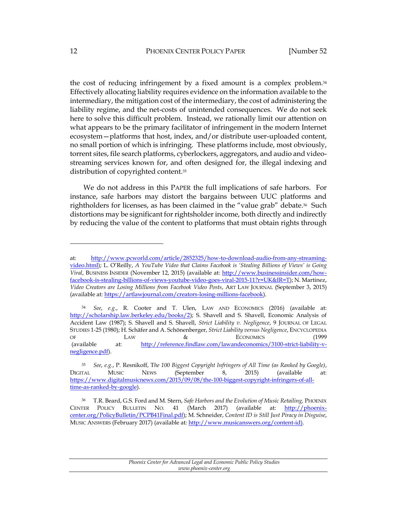the cost of reducing infringement by a fixed amount is a complex problem.<sup>34</sup> Effectively allocating liability requires evidence on the information available to the intermediary, the mitigation cost of the intermediary, the cost of administering the liability regime, and the net-costs of unintended consequences. We do not seek here to solve this difficult problem. Instead, we rationally limit our attention on what appears to be the primary facilitator of infringement in the modern Internet ecosystem—platforms that host, index, and/or distribute user-uploaded content, no small portion of which is infringing. These platforms include, most obviously, torrent sites, file search platforms, cyberlockers, aggregators, and audio and videostreaming services known for, and often designed for, the illegal indexing and distribution of copyrighted content.<sup>35</sup>

We do not address in this PAPER the full implications of safe harbors. For instance, safe harbors may distort the bargains between UUC platforms and rightholders for licenses, as has been claimed in the "value grab" debate. <sup>36</sup> Such distortions may be significant for rightsholder income, both directly and indirectly by reducing the value of the content to platforms that must obtain rights through

 $\ddot{\phantom{a}}$ 

at: [http://www.pcworld.com/article/2852325/how-to-download-audio-from-any-streaming](http://www.pcworld.com/article/2852325/how-to-download-audio-from-any-streaming-video.html)[video.html\)](http://www.pcworld.com/article/2852325/how-to-download-audio-from-any-streaming-video.html); L. O'Reilly, *A YouTube Video that Claims Facebook is 'Stealing Billions of Views' is Going Viral*, BUSINESS INSIDER (November 12, 2015) (available at: [http://www.businessinsider.com/how](http://www.businessinsider.com/how-facebook-is-stealing-billions-of-views-youtube-video-goes-viral-2015-11?r=UK&IR=T)[facebook-is-stealing-billions-of-views-youtube-video-goes-viral-2015-11?r=UK&IR=T\)](http://www.businessinsider.com/how-facebook-is-stealing-billions-of-views-youtube-video-goes-viral-2015-11?r=UK&IR=T); N. Martinez, *Video Creators are Losing Millions from Facebook Video Posts*, ART LAW JOURNAL (September 3, 2015) (available at: [https://artlawjournal.com/creators-losing-millions-facebook\)](https://artlawjournal.com/creators-losing-millions-facebook/).

<sup>34</sup> *See*, *e.g.*, R. Cooter and T. Ulen, LAW AND ECONOMICS (2016) (available at: [http://scholarship.law.berkeley.edu/books/2\)](http://scholarship.law.berkeley.edu/books/2); S. Shavell and S. Shavell, Economic Analysis of Accident Law (1987); S. Shavell and S. Shavell, *Strict Liability v. Negligence*, 9 JOURNAL OF LEGAL STUDIES 1-25 (1980); H. Schäfer and A. Schönenberger, *Strict Liability versus Negligence*, ENCYCLOPEDIA  $\sigma$ F Law  $\&$  Economics (1999 (available at: [http://reference.findlaw.com/lawandeconomics/3100-strict-liability-v](http://reference.findlaw.com/lawandeconomics/3100-strict-liability-v-negligence.pdf)[negligence.pdf\)](http://reference.findlaw.com/lawandeconomics/3100-strict-liability-v-negligence.pdf).

<sup>35</sup> *See*, *e.g.*, P. Resnikoff, T*he 100 Biggest Copyright Infringers of All Time (as Ranked by Google)*, DIGITAL MUSIC NEWS (September 8, 2015) (available at: [https://www.digitalmusicnews.com/2015/09/08/the-100-biggest-copyright-infringers-of-all](https://www.digitalmusicnews.com/2015/09/08/the-100-biggest-copyright-infringers-of-all-time-as-ranked-by-google/)[time-as-ranked-by-google\)](https://www.digitalmusicnews.com/2015/09/08/the-100-biggest-copyright-infringers-of-all-time-as-ranked-by-google/).

<sup>36</sup> T.R. Beard, G.S. Ford and M. Stern, *Safe Harbors and the Evolution of Music Retailing,* PHOENIX CENTER POLICY BULLETIN NO. 41 (March 2017) (available at: [http://phoenix](http://phoenix-center.org/PolicyBulletin/PCPB41Final.pdf)[center.org/PolicyBulletin/PCPB41Final.pdf\)](http://phoenix-center.org/PolicyBulletin/PCPB41Final.pdf); M. Schneider, *Content ID is Still Just Piracy in Disguise*, MUSIC ANSWERS (February 2017) (available at: [http://www.musicanswers.org/content-id\).](http://www.musicanswers.org/content-id))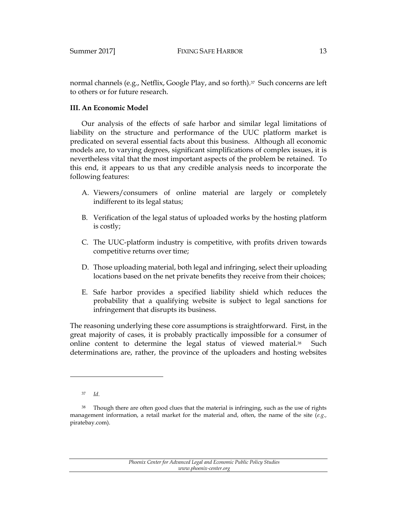normal channels (e.g., Netflix, Google Play, and so forth). $\frac{37}{12}$  Such concerns are left to others or for future research.

## <span id="page-13-0"></span>**III. An Economic Model**

Our analysis of the effects of safe harbor and similar legal limitations of liability on the structure and performance of the UUC platform market is predicated on several essential facts about this business. Although all economic models are, to varying degrees, significant simplifications of complex issues, it is nevertheless vital that the most important aspects of the problem be retained. To this end, it appears to us that any credible analysis needs to incorporate the following features:

- A. Viewers/consumers of online material are largely or completely indifferent to its legal status;
- B. Verification of the legal status of uploaded works by the hosting platform is costly;
- C. The UUC-platform industry is competitive, with profits driven towards competitive returns over time;
- D. Those uploading material, both legal and infringing, select their uploading locations based on the net private benefits they receive from their choices;
- E. Safe harbor provides a specified liability shield which reduces the probability that a qualifying website is subject to legal sanctions for infringement that disrupts its business.

The reasoning underlying these core assumptions is straightforward. First, in the great majority of cases, it is probably practically impossible for a consumer of online content to determine the legal status of viewed material.38 Such determinations are, rather, the province of the uploaders and hosting websites

 $\ddot{\phantom{a}}$ 

<sup>37</sup> *Id*.

<sup>38</sup> Though there are often good clues that the material is infringing, such as the use of rights management information, a retail market for the material and, often, the name of the site (*e.g.,* piratebay.com).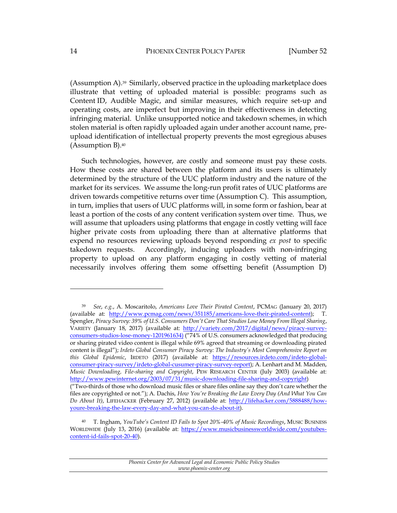(Assumption A).<sup>39</sup> Similarly, observed practice in the uploading marketplace does illustrate that vetting of uploaded material is possible: programs such as Content ID, Audible Magic, and similar measures, which require set-up and operating costs, are imperfect but improving in their effectiveness in detecting infringing material. Unlike unsupported notice and takedown schemes, in which stolen material is often rapidly uploaded again under another account name, preupload identification of intellectual property prevents the most egregious abuses (Assumption B).<sup>40</sup>

Such technologies, however, are costly and someone must pay these costs. How these costs are shared between the platform and its users is ultimately determined by the structure of the UUC platform industry and the nature of the market for its services. We assume the long-run profit rates of UUC platforms are driven towards competitive returns over time (Assumption C). This assumption, in turn, implies that users of UUC platforms will, in some form or fashion, bear at least a portion of the costs of any content verification system over time. Thus, we will assume that uploaders using platforms that engage in costly vetting will face higher private costs from uploading there than at alternative platforms that expend no resources reviewing uploads beyond responding *ex post* to specific takedown requests. Accordingly, inducing uploaders with non-infringing property to upload on any platform engaging in costly vetting of material necessarily involves offering them some offsetting benefit (Assumption D)

 $\ddot{\phantom{a}}$ 

<sup>39</sup> *See*, *e.g.*, A. Moscaritolo, *Americans Love Their Pirated Content*, PCMAG (January 20, 2017) (available at: [http://www.pcmag.com/news/351185/americans-love-their-pirated-content\)](http://www.pcmag.com/news/351185/americans-love-their-pirated-content); T. Spengler, *Piracy Survey: 39% of U.S. Consumers Don't Care That Studios Lose Money From Illegal Sharing*, VARIETY (January 18, 2017) (available at: [http://variety.com/2017/digital/news/piracy-survey](http://variety.com/2017/digital/news/piracy-survey-consumers-studios-lose-money-1201961634))[consumers-studios-lose-money-1201961634\)](http://variety.com/2017/digital/news/piracy-survey-consumers-studios-lose-money-1201961634)) ("74% of U.S. consumers acknowledged that producing or sharing pirated video content is illegal while 69% agreed that streaming or downloading pirated content is illegal"); *Irdeto Global Consumer Piracy Survey: The Industry's Most Comprehensive Report on this Global Epidemic*, IRDETO (2017) (available at: [https://resources.irdeto.com/irdeto-global](https://resources.irdeto.com/irdeto-global-consumer-piracy-survey/irdeto-global-cusumer-piracy-survey-report)[consumer-piracy-survey/irdeto-global-cusumer-piracy-survey-report\)](https://resources.irdeto.com/irdeto-global-consumer-piracy-survey/irdeto-global-cusumer-piracy-survey-report); A. Lenhart and M. Madden, *Music Downloading, File-sharing and Copyright*, PEW RESEARCH CENTER (July 2003) (available at: [http://www.pewinternet.org/2003/07/31/music-downloading-file-sharing-and-copyright\)](http://www.pewinternet.org/2003/07/31/music-downloading-file-sharing-and-copyright/) ("Two-thirds of those who download music files or share files online say they don't care whether the files are copyrighted or not."); A. Dachis, *How You're Breaking the Law Every Day (And What You Can Do About It)*, LIFEHACKER (February 27, 2012) (available at: [http://lifehacker.com/5888488/how-](http://lifehacker.com/5888488/how-youre-breaking-the-law-every-day-and-what-you-can-do-about-it)

[youre-breaking-the-law-every-day-and-what-you-can-do-about-it\)](http://lifehacker.com/5888488/how-youre-breaking-the-law-every-day-and-what-you-can-do-about-it).

<sup>40</sup> T. Ingham, *YouTube's Content ID Fails to Spot 20%-40% of Music Recordings*, MUSIC BUSINESS WORLDWIDE (July 13, 2016) (available at: [https://www.musicbusinessworldwide.com/youtubes](https://www.musicbusinessworldwide.com/youtubes-content-id-fails-spot-20-40/)[content-id-fails-spot-20-40\)](https://www.musicbusinessworldwide.com/youtubes-content-id-fails-spot-20-40/).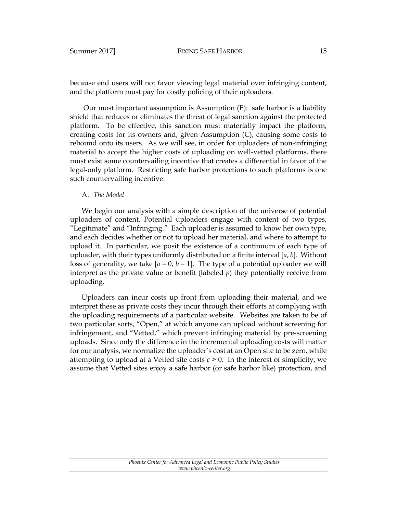because end users will not favor viewing legal material over infringing content, and the platform must pay for costly policing of their uploaders.

Our most important assumption is Assumption (E): safe harbor is a liability shield that reduces or eliminates the threat of legal sanction against the protected platform. To be effective, this sanction must materially impact the platform, creating costs for its owners and, given Assumption (C), causing some costs to rebound onto its users. As we will see, in order for uploaders of non-infringing material to accept the higher costs of uploading on well-vetted platforms, there must exist some countervailing incentive that creates a differential in favor of the legal-only platform. Restricting safe harbor protections to such platforms is one such countervailing incentive.

#### <span id="page-15-0"></span>A. *The Model*

We begin our analysis with a simple description of the universe of potential uploaders of content. Potential uploaders engage with content of two types, "Legitimate" and "Infringing." Each uploader is assumed to know her own type, and each decides whether or not to upload her material, and where to attempt to upload it. In particular, we posit the existence of a continuum of each type of uploader, with their types uniformly distributed on a finite interval [*a*, *b*]. Without loss of generality, we take  $[a = 0, b = 1]$ . The type of a potential uploader we will interpret as the private value or benefit (labeled  $p$ ) they potentially receive from uploading.

Uploaders can incur costs up front from uploading their material, and we interpret these as private costs they incur through their efforts at complying with the uploading requirements of a particular website. Websites are taken to be of two particular sorts, "Open," at which anyone can upload without screening for infringement, and "Vetted," which prevent infringing material by pre-screening uploads. Since only the difference in the incremental uploading costs will matter for our analysis, we normalize the uploader's cost at an Open site to be zero, while attempting to upload at a Vetted site costs  $c > 0$ . In the interest of simplicity, we assume that Vetted sites enjoy a safe harbor (or safe harbor like) protection, and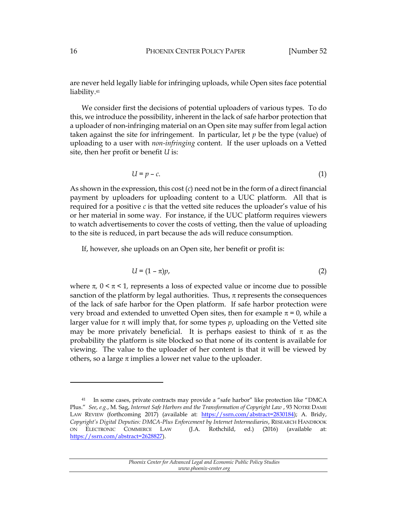are never held legally liable for infringing uploads, while Open sites face potential liability.<sup>41</sup>

We consider first the decisions of potential uploaders of various types. To do this, we introduce the possibility, inherent in the lack of safe harbor protection that a uploader of non-infringing material on an Open site may suffer from legal action taken against the site for infringement. In particular, let *p* be the type (value) of uploading to a user with *non-infringing* content. If the user uploads on a Vetted site, then her profit or benefit *U* is:

$$
U = p - c.\t\t(1)
$$

As shown in the expression, this cost (*c*) need not be in the form of a direct financial payment by uploaders for uploading content to a UUC platform. All that is required for a positive *c* is that the vetted site reduces the uploader's value of his or her material in some way. For instance, if the UUC platform requires viewers to watch advertisements to cover the costs of vetting, then the value of uploading to the site is reduced, in part because the ads will reduce consumption.

If, however, she uploads on an Open site, her benefit or profit is:

$$
U = (1 - \pi)p,\tag{2}
$$

where  $\pi$ ,  $0 \leq \pi \leq 1$ , represents a loss of expected value or income due to possible sanction of the platform by legal authorities. Thus,  $\pi$  represents the consequences of the lack of safe harbor for the Open platform. If safe harbor protection were very broad and extended to unvetted Open sites, then for example  $\pi = 0$ , while a larger value for  $\pi$  will imply that, for some types p, uploading on the Vetted site may be more privately beneficial. It is perhaps easiest to think of  $\pi$  as the probability the platform is site blocked so that none of its content is available for viewing. The value to the uploader of her content is that it will be viewed by others, so a large  $\pi$  implies a lower net value to the uploader.

<sup>41</sup> In some cases, private contracts may provide a "safe harbor" like protection like "DMCA Plus." *See*, *e.g.*, M. Sag, *Internet Safe Harbors and the Transformation of Copyright Law* , 93 NOTRE DAME LAW REVIEW (forthcoming 2017) (available at: [https://ssrn.com/abstract=2830184\)](https://ssrn.com/abstract=2830184); A. Bridy, *Copyright's Digital Deputies: DMCA-Plus Enforcement by Internet Intermediaries*, RESEARCH HANDBOOK ON ELECTRONIC COMMERCE LAW (J.A. Rothchild, ed.) (2016) (available [https://ssrn.com/abstract=2628827\)](https://ssrn.com/abstract=2628827).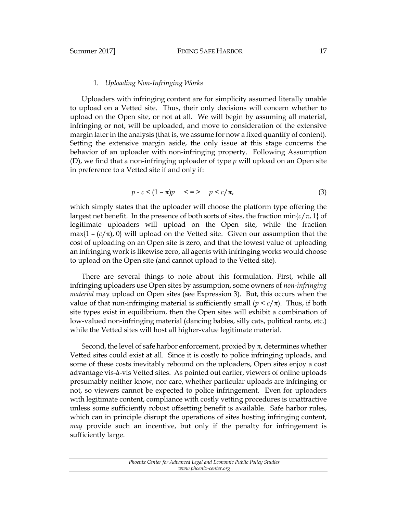#### 1. *Uploading Non-Infringing Works*

<span id="page-17-0"></span>Uploaders with infringing content are for simplicity assumed literally unable to upload on a Vetted site. Thus, their only decisions will concern whether to upload on the Open site, or not at all. We will begin by assuming all material, infringing or not, will be uploaded, and move to consideration of the extensive margin later in the analysis (that is, we assume for now a fixed quantify of content). Setting the extensive margin aside, the only issue at this stage concerns the behavior of an uploader with non-infringing property. Following Assumption (D), we find that a non-infringing uploader of type *p* will upload on an Open site in preference to a Vetted site if and only if:

$$
p - c < (1 - \pi)p < = > p < c/\pi,\tag{3}
$$

which simply states that the uploader will choose the platform type offering the largest net benefit. In the presence of both sorts of sites, the fraction  $\min\{c/\pi, 1\}$  of legitimate uploaders will upload on the Open site, while the fraction max $\{1 - (c/\pi), 0\}$  will upload on the Vetted site. Given our assumption that the cost of uploading on an Open site is zero, and that the lowest value of uploading an infringing work is likewise zero, all agents with infringing works would choose to upload on the Open site (and cannot upload to the Vetted site).

There are several things to note about this formulation. First, while all infringing uploaders use Open sites by assumption, some owners of *non-infringing material* may upload on Open sites (see Expression 3). But, this occurs when the value of that non-infringing material is sufficiently small  $(p < c/\pi)$ . Thus, if both site types exist in equilibrium, then the Open sites will exhibit a combination of low-valued non-infringing material (dancing babies, silly cats, political rants, etc.) while the Vetted sites will host all higher-value legitimate material.

Second, the level of safe harbor enforcement, proxied by  $\pi$ , determines whether Vetted sites could exist at all. Since it is costly to police infringing uploads, and some of these costs inevitably rebound on the uploaders, Open sites enjoy a cost advantage vis-à-vis Vetted sites. As pointed out earlier, viewers of online uploads presumably neither know, nor care, whether particular uploads are infringing or not, so viewers cannot be expected to police infringement. Even for uploaders with legitimate content, compliance with costly vetting procedures is unattractive unless some sufficiently robust offsetting benefit is available. Safe harbor rules, which can in principle disrupt the operations of sites hosting infringing content, *may* provide such an incentive, but only if the penalty for infringement is sufficiently large.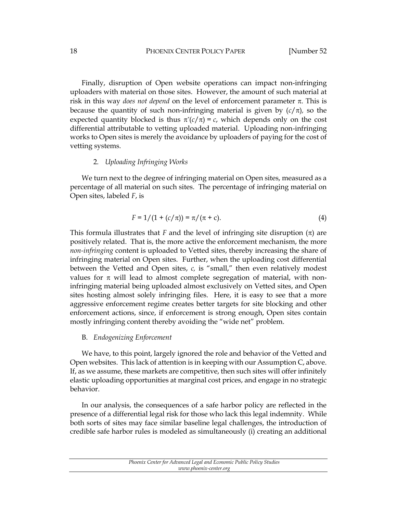Finally, disruption of Open website operations can impact non-infringing uploaders with material on those sites. However, the amount of such material at risk in this way *does not depend* on the level of enforcement parameter  $\pi$ . This is because the quantity of such non-infringing material is given by  $(c/\pi)$ , so the expected quantity blocked is thus  $\pi^*(c/\pi) = c$ , which depends only on the cost differential attributable to vetting uploaded material. Uploading non-infringing works to Open sites is merely the avoidance by uploaders of paying for the cost of vetting systems.

#### 2. *Uploading Infringing Works*

<span id="page-18-0"></span>We turn next to the degree of infringing material on Open sites, measured as a percentage of all material on such sites. The percentage of infringing material on Open sites, labeled *F*, is

$$
F = 1/(1 + (c/\pi)) = \pi/(\pi + c).
$$
 (4)

This formula illustrates that *F* and the level of infringing site disruption  $(\pi)$  are positively related. That is, the more active the enforcement mechanism, the more *non-infringing* content is uploaded to Vetted sites, thereby increasing the share of infringing material on Open sites. Further, when the uploading cost differential between the Vetted and Open sites, *c,* is "small," then even relatively modest values for  $\pi$  will lead to almost complete segregation of material, with noninfringing material being uploaded almost exclusively on Vetted sites, and Open sites hosting almost solely infringing files. Here, it is easy to see that a more aggressive enforcement regime creates better targets for site blocking and other enforcement actions, since, if enforcement is strong enough, Open sites contain mostly infringing content thereby avoiding the "wide net" problem.

#### <span id="page-18-1"></span>B. *Endogenizing Enforcement*

We have, to this point, largely ignored the role and behavior of the Vetted and Open websites. This lack of attention is in keeping with our Assumption C, above. If, as we assume, these markets are competitive, then such sites will offer infinitely elastic uploading opportunities at marginal cost prices, and engage in no strategic behavior.

In our analysis, the consequences of a safe harbor policy are reflected in the presence of a differential legal risk for those who lack this legal indemnity. While both sorts of sites may face similar baseline legal challenges, the introduction of credible safe harbor rules is modeled as simultaneously (i) creating an additional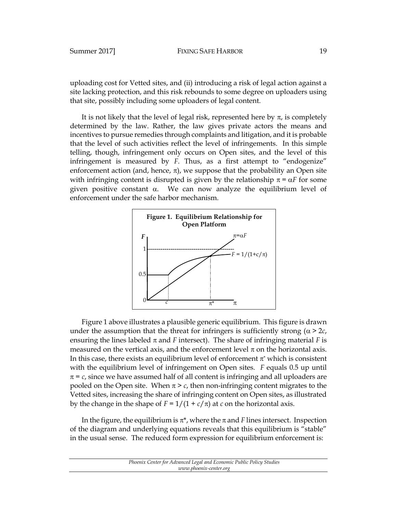uploading cost for Vetted sites, and (ii) introducing a risk of legal action against a site lacking protection, and this risk rebounds to some degree on uploaders using that site, possibly including some uploaders of legal content.

It is not likely that the level of legal risk, represented here by  $\pi$ , is completely determined by the law. Rather, the law gives private actors the means and incentives to pursue remedies through complaints and litigation, and it is probable that the level of such activities reflect the level of infringements. In this simple telling, though, infringement only occurs on Open sites, and the level of this infringement is measured by *F*. Thus, as a first attempt to "endogenize" enforcement action (and, hence,  $\pi$ ), we suppose that the probability an Open site with infringing content is disrupted is given by the relationship  $\pi = \alpha F$  for some given positive constant  $\alpha$ . We can now analyze the equilibrium level of enforcement under the safe harbor mechanism.



Figure 1 above illustrates a plausible generic equilibrium. This figure is drawn under the assumption that the threat for infringers is sufficiently strong ( $\alpha$  > 2 $c$ , ensuring the lines labeled  $\pi$  and *F* intersect). The share of infringing material *F* is measured on the vertical axis, and the enforcement level  $\pi$  on the horizontal axis. In this case, there exists an equilibrium level of enforcement  $\pi^*$  which is consistent with the equilibrium level of infringement on Open sites. *F* equals 0.5 up until  $\pi$  =  $c$ , since we have assumed half of all content is infringing and all uploaders are pooled on the Open site. When  $\pi$  >  $c$ , then non-infringing content migrates to the Vetted sites, increasing the share of infringing content on Open sites, as illustrated by the change in the shape of  $F = 1/(1 + c/\pi)$  at *c* on the horizontal axis.

In the figure, the equilibrium is  $\pi^*$ , where the  $\pi$  and *F* lines intersect. Inspection of the diagram and underlying equations reveals that this equilibrium is "stable" in the usual sense. The reduced form expression for equilibrium enforcement is:

*Phoenix Center for Advanced Legal and Economic Public Policy Studies www.phoenix-center.org*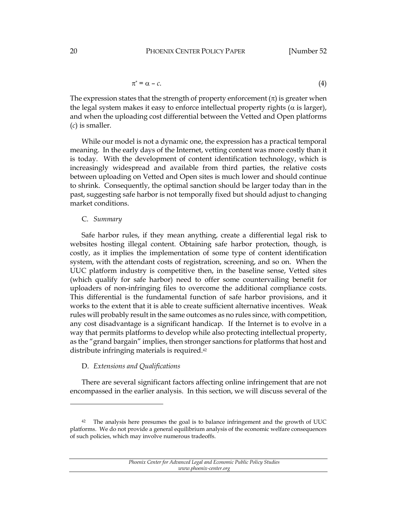$$
\pi^* = \alpha - c. \tag{4}
$$

The expression states that the strength of property enforcement  $(\pi)$  is greater when the legal system makes it easy to enforce intellectual property rights ( $\alpha$  is larger), and when the uploading cost differential between the Vetted and Open platforms (*c*) is smaller.

While our model is not a dynamic one, the expression has a practical temporal meaning. In the early days of the Internet, vetting content was more costly than it is today. With the development of content identification technology, which is increasingly widespread and available from third parties, the relative costs between uploading on Vetted and Open sites is much lower and should continue to shrink. Consequently, the optimal sanction should be larger today than in the past, suggesting safe harbor is not temporally fixed but should adjust to changing market conditions.

#### <span id="page-20-0"></span>C. *Summary*

Safe harbor rules, if they mean anything, create a differential legal risk to websites hosting illegal content. Obtaining safe harbor protection, though, is costly, as it implies the implementation of some type of content identification system, with the attendant costs of registration, screening, and so on. When the UUC platform industry is competitive then, in the baseline sense, Vetted sites (which qualify for safe harbor) need to offer some countervailing benefit for uploaders of non-infringing files to overcome the additional compliance costs. This differential is the fundamental function of safe harbor provisions, and it works to the extent that it is able to create sufficient alternative incentives. Weak rules will probably result in the same outcomes as no rules since, with competition, any cost disadvantage is a significant handicap. If the Internet is to evolve in a way that permits platforms to develop while also protecting intellectual property, as the "grand bargain" implies, then stronger sanctions for platforms that host and distribute infringing materials is required.<sup>42</sup>

### <span id="page-20-1"></span>D. *Extensions and Qualifications*

 $\ddot{\phantom{a}}$ 

There are several significant factors affecting online infringement that are not encompassed in the earlier analysis. In this section, we will discuss several of the

 $42$  The analysis here presumes the goal is to balance infringement and the growth of UUC platforms. We do not provide a general equilibrium analysis of the economic welfare consequences of such policies, which may involve numerous tradeoffs.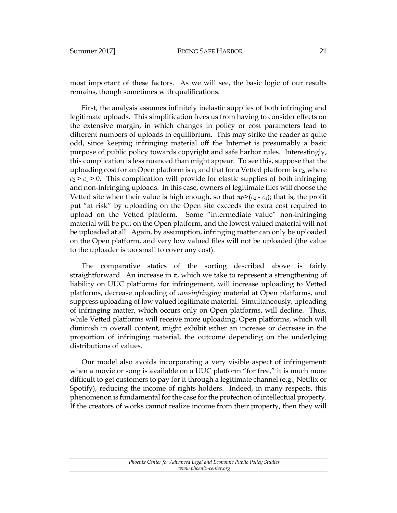most important of these factors. As we will see, the basic logic of our results remains, though sometimes with qualifications.

First, the analysis assumes infinitely inelastic supplies of both infringing and legitimate uploads. This simplification frees us from having to consider effects on the extensive margin, in which changes in policy or cost parameters lead to different numbers of uploads in equilibrium. This may strike the reader as quite odd, since keeping infringing material off the Internet is presumably a basic purpose of public policy towards copyright and safe harbor rules. Interestingly, this complication is less nuanced than might appear. To see this, suppose that the uploading cost for an Open platform is  $c_1$  and that for a Vetted platform is  $c_2$ , where  $c_2 > c_1 > 0$ . This complication will provide for elastic supplies of both infringing and non-infringing uploads. In this case, owners of legitimate files will choose the Vetted site when their value is high enough, so that  $\pi p > (c_2 - c_1)$ ; that is, the profit put "at risk" by uploading on the Open site exceeds the extra cost required to upload on the Vetted platform. Some "intermediate value" non-infringing material will be put on the Open platform, and the lowest valued material will not be uploaded at all. Again, by assumption, infringing matter can only be uploaded on the Open platform, and very low valued files will not be uploaded (the value to the uploader is too small to cover any cost).

The comparative statics of the sorting described above is fairly straightforward. An increase in  $\pi$ , which we take to represent a strengthening of liability on UUC platforms for infringement, will increase uploading to Vetted platforms, decrease uploading of *non-infringing* material at Open platforms, and suppress uploading of low valued legitimate material. Simultaneously, uploading of infringing matter, which occurs only on Open platforms, will decline. Thus, while Vetted platforms will receive more uploading, Open platforms, which will diminish in overall content, might exhibit either an increase or decrease in the proportion of infringing material, the outcome depending on the underlying distributions of values.

Our model also avoids incorporating a very visible aspect of infringement: when a movie or song is available on a UUC platform "for free," it is much more difficult to get customers to pay for it through a legitimate channel (e.g., Netflix or Spotify), reducing the income of rights holders. Indeed, in many respects, this phenomenon is fundamental for the case for the protection of intellectual property. If the creators of works cannot realize income from their property, then they will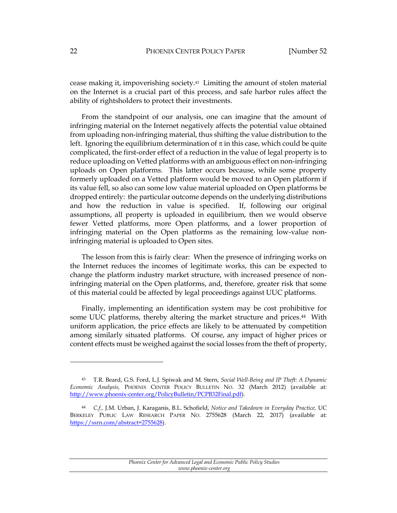cease making it, impoverishing society.<sup>43</sup> Limiting the amount of stolen material on the Internet is a crucial part of this process, and safe harbor rules affect the ability of rightsholders to protect their investments.

From the standpoint of our analysis, one can imagine that the amount of infringing material on the Internet negatively affects the potential value obtained from uploading non-infringing material, thus shifting the value distribution to the left. Ignoring the equilibrium determination of  $\pi$  in this case, which could be quite complicated, the first-order effect of a reduction in the value of legal property is to reduce uploading on Vetted platforms with an ambiguous effect on non-infringing uploads on Open platforms. This latter occurs because, while some property formerly uploaded on a Vetted platform would be moved to an Open platform if its value fell, so also can some low value material uploaded on Open platforms be dropped entirely: the particular outcome depends on the underlying distributions and how the reduction in value is specified. If, following our original assumptions, all property is uploaded in equilibrium, then we would observe fewer Vetted platforms, more Open platforms, and a lower proportion of infringing material on the Open platforms as the remaining low-value noninfringing material is uploaded to Open sites.

The lesson from this is fairly clear: When the presence of infringing works on the Internet reduces the incomes of legitimate works, this can be expected to change the platform industry market structure, with increased presence of noninfringing material on the Open platforms, and, therefore, greater risk that some of this material could be affected by legal proceedings against UUC platforms.

Finally, implementing an identification system may be cost prohibitive for some UUC platforms, thereby altering the market structure and prices.<sup>44</sup> With uniform application, the price effects are likely to be attenuated by competition among similarly situated platforms. Of course, any impact of higher prices or content effects must be weighed against the social losses from the theft of property,

<sup>43</sup> T.R. Beard, G.S. Ford, L.J. Spiwak and M. Stern, *Social Well-Being and IP Theft: A Dynamic Economic Analysis,* PHOENIX CENTER POLICY BULLETIN NO. 32 (March 2012) (available at: [http://www.phoenix-center.org/PolicyBulletin/PCPB32Final.pdf\)](http://www.phoenix-center.org/PolicyBulletin/PCPB32Final.pdf).

<sup>44</sup> *C.f.,* J.M. Urban, J. Karaganis, B.L. Schofield, *Notice and Takedown in Everyday Practice,* UC BERKELEY PUBLIC LAW RESEARCH PAPER NO. 2755628 (March 22, 2017) (available at: [https://ssrn.com/abstract=2755628\)](https://ssrn.com/abstract=2755628).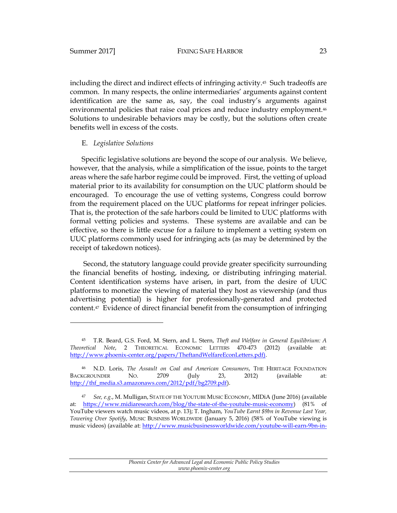$\ddot{\phantom{a}}$ 

including the direct and indirect effects of infringing activity.45 Such tradeoffs are common. In many respects, the online intermediaries' arguments against content identification are the same as, say, the coal industry's arguments against environmental policies that raise coal prices and reduce industry employment.<sup>46</sup> Solutions to undesirable behaviors may be costly, but the solutions often create benefits well in excess of the costs.

#### <span id="page-23-0"></span>E. *Legislative Solutions*

Specific legislative solutions are beyond the scope of our analysis. We believe, however, that the analysis, while a simplification of the issue, points to the target areas where the safe harbor regime could be improved. First, the vetting of upload material prior to its availability for consumption on the UUC platform should be encouraged. To encourage the use of vetting systems, Congress could borrow from the requirement placed on the UUC platforms for repeat infringer policies. That is, the protection of the safe harbors could be limited to UUC platforms with formal vetting policies and systems. These systems are available and can be effective, so there is little excuse for a failure to implement a vetting system on UUC platforms commonly used for infringing acts (as may be determined by the receipt of takedown notices).

Second, the statutory language could provide greater specificity surrounding the financial benefits of hosting, indexing, or distributing infringing material. Content identification systems have arisen, in part, from the desire of UUC platforms to monetize the viewing of material they host as viewership (and thus advertising potential) is higher for professionally-generated and protected content.47 Evidence of direct financial benefit from the consumption of infringing

<sup>45</sup> T.R. Beard, G.S. Ford, M. Stern, and L. Stern, *Theft and Welfare in General Equilibrium: A Theoretical Note*, 2 THEORETICAL ECONOMIC LETTERS 470-473 (2012) (available at: [http://www.phoenix-center.org/papers/TheftandWelfareEconLetters.pdf\).](http://www.phoenix-center.org/papers/TheftandWelfareEconLetters.pdf)) 

<sup>46</sup> N.D. Loris, *The Assault on Coal and American Consumers*, THE HERITAGE FOUNDATION BACKGROUNDER NO. 2709 (July 23, 2012) (available at: [http://thf\\_media.s3.amazonaws.com/2012/pdf/bg2709.pdf\)](http://thf_media.s3.amazonaws.com/2012/pdf/bg2709.pdf).

<sup>47</sup> *See, e*.*g*., M. Mulligan, STATE OF THE YOUTUBE MUSIC ECONOMY, MIDiA (June 2016) (available at: [https://www.midiaresearch.com/blog/the-state-of-the-youtube-music-economy\)](https://www.midiaresearch.com/blog/the-state-of-the-youtube-music-economy) (81% of YouTube viewers watch music videos, at p. 13); T. Ingham, *YouTube Earnt \$9bn in Revenue Last Year, Towering Over Spotify*, MUSIC BUSINESS WORLDWIDE (January 5, 2016) (58% of YouTube viewing is music videos) (available at[: http://www.musicbusinessworldwide.com/youtube-will-earn-9bn-in-](http://www.musicbusinessworldwide.com/youtube-will-earn-9bn-in-revenue-this-year-towering-over-spotify)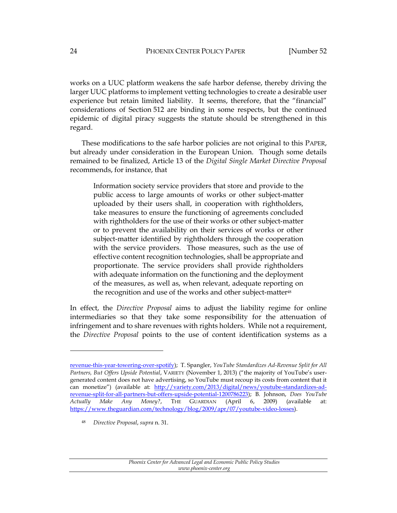works on a UUC platform weakens the safe harbor defense, thereby driving the larger UUC platforms to implement vetting technologies to create a desirable user experience but retain limited liability. It seems, therefore, that the "financial" considerations of Section 512 are binding in some respects, but the continued epidemic of digital piracy suggests the statute should be strengthened in this regard.

These modifications to the safe harbor policies are not original to this PAPER, but already under consideration in the European Union. Though some details remained to be finalized, Article 13 of the *Digital Single Market Directive Proposal* recommends, for instance, that

Information society service providers that store and provide to the public access to large amounts of works or other subject-matter uploaded by their users shall, in cooperation with rightholders, take measures to ensure the functioning of agreements concluded with rightholders for the use of their works or other subject-matter or to prevent the availability on their services of works or other subject-matter identified by rightholders through the cooperation with the service providers. Those measures, such as the use of effective content recognition technologies, shall be appropriate and proportionate. The service providers shall provide rightholders with adequate information on the functioning and the deployment of the measures, as well as, when relevant, adequate reporting on the recognition and use of the works and other subject-matter<sup>48</sup>

In effect, the *Directive Proposal* aims to adjust the liability regime for online intermediaries so that they take some responsibility for the attenuation of infringement and to share revenues with rights holders. While not a requirement, the *Directive Proposal* points to the use of content identification systems as a

[revenue-this-year-towering-over-spotify\)](http://www.musicbusinessworldwide.com/youtube-will-earn-9bn-in-revenue-this-year-towering-over-spotify); T. Spangler, *YouTube Standardizes Ad-Revenue Split for All Partners, But Offers Upside Potential*, VARIETY (November 1, 2013) ("the majority of YouTube's usergenerated content does not have advertising, so YouTube must recoup its costs from content that it can monetize") (available at: [http://variety.com/2013/digital/news/youtube-standardizes-ad](http://variety.com/2013/digital/news/youtube-standardizes-ad-revenue-split-for-all-partners-but-offers-upside-potential-1200786223/)[revenue-split-for-all-partners-but-offers-upside-potential-1200786223\)](http://variety.com/2013/digital/news/youtube-standardizes-ad-revenue-split-for-all-partners-but-offers-upside-potential-1200786223/); B. Johnson, *Does YouTube*  Actually Make Any Money?, THE GUARDIAN (April 6, 2009) (available [https://www.theguardian.com/technology/blog/2009/apr/07/youtube-video-losses\)](https://www.theguardian.com/technology/blog/2009/apr/07/youtube-video-losses).

<sup>48</sup> *Directive Proposal*, *supra* n. 31.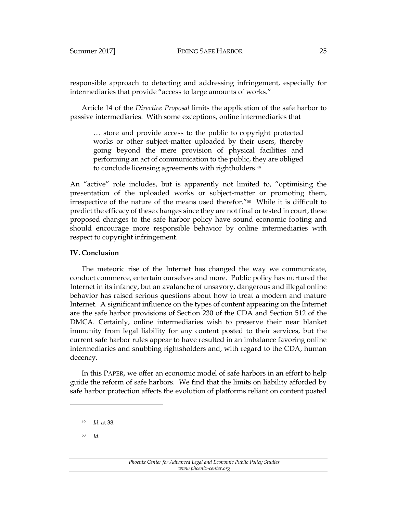responsible approach to detecting and addressing infringement, especially for intermediaries that provide "access to large amounts of works."

Article 14 of the *Directive Proposal* limits the application of the safe harbor to passive intermediaries. With some exceptions, online intermediaries that

… store and provide access to the public to copyright protected works or other subject-matter uploaded by their users, thereby going beyond the mere provision of physical facilities and performing an act of communication to the public, they are obliged to conclude licensing agreements with rightholders.<sup>49</sup>

An "active" role includes, but is apparently not limited to, "optimising the presentation of the uploaded works or subject-matter or promoting them, irrespective of the nature of the means used therefor."50 While it is difficult to predict the efficacy of these changes since they are not final or tested in court, these proposed changes to the safe harbor policy have sound economic footing and should encourage more responsible behavior by online intermediaries with respect to copyright infringement.

## <span id="page-25-0"></span>**IV. Conclusion**

The meteoric rise of the Internet has changed the way we communicate, conduct commerce, entertain ourselves and more. Public policy has nurtured the Internet in its infancy, but an avalanche of unsavory, dangerous and illegal online behavior has raised serious questions about how to treat a modern and mature Internet. A significant influence on the types of content appearing on the Internet are the safe harbor provisions of Section 230 of the CDA and Section 512 of the DMCA. Certainly, online intermediaries wish to preserve their near blanket immunity from legal liability for any content posted to their services, but the current safe harbor rules appear to have resulted in an imbalance favoring online intermediaries and snubbing rightsholders and, with regard to the CDA, human decency.

In this PAPER, we offer an economic model of safe harbors in an effort to help guide the reform of safe harbors. We find that the limits on liability afforded by safe harbor protection affects the evolution of platforms reliant on content posted

<sup>50</sup> *Id*.

<sup>49</sup> *Id*. at 38.